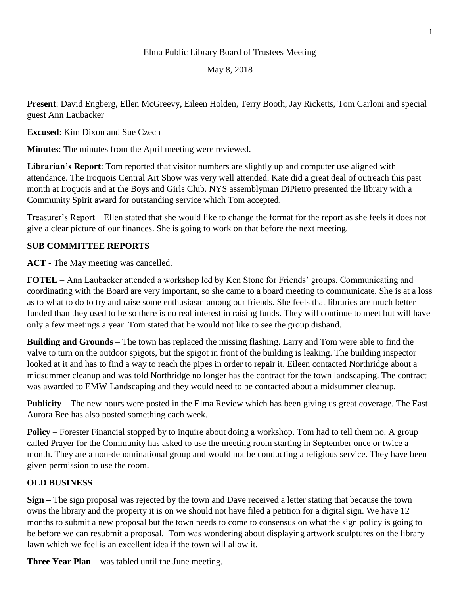## Elma Public Library Board of Trustees Meeting

May 8, 2018

**Present**: David Engberg, Ellen McGreevy, Eileen Holden, Terry Booth, Jay Ricketts, Tom Carloni and special guest Ann Laubacker

**Excused**: Kim Dixon and Sue Czech

**Minutes**: The minutes from the April meeting were reviewed.

**Librarian's Report**: Tom reported that visitor numbers are slightly up and computer use aligned with attendance. The Iroquois Central Art Show was very well attended. Kate did a great deal of outreach this past month at Iroquois and at the Boys and Girls Club. NYS assemblyman DiPietro presented the library with a Community Spirit award for outstanding service which Tom accepted.

Treasurer's Report – Ellen stated that she would like to change the format for the report as she feels it does not give a clear picture of our finances. She is going to work on that before the next meeting.

## **SUB COMMITTEE REPORTS**

**ACT** - The May meeting was cancelled.

**FOTEL** – Ann Laubacker attended a workshop led by Ken Stone for Friends' groups. Communicating and coordinating with the Board are very important, so she came to a board meeting to communicate. She is at a loss as to what to do to try and raise some enthusiasm among our friends. She feels that libraries are much better funded than they used to be so there is no real interest in raising funds. They will continue to meet but will have only a few meetings a year. Tom stated that he would not like to see the group disband.

**Building and Grounds** – The town has replaced the missing flashing. Larry and Tom were able to find the valve to turn on the outdoor spigots, but the spigot in front of the building is leaking. The building inspector looked at it and has to find a way to reach the pipes in order to repair it. Eileen contacted Northridge about a midsummer cleanup and was told Northridge no longer has the contract for the town landscaping. The contract was awarded to EMW Landscaping and they would need to be contacted about a midsummer cleanup.

**Publicity** – The new hours were posted in the Elma Review which has been giving us great coverage. The East Aurora Bee has also posted something each week.

**Policy** – Forester Financial stopped by to inquire about doing a workshop. Tom had to tell them no. A group called Prayer for the Community has asked to use the meeting room starting in September once or twice a month. They are a non-denominational group and would not be conducting a religious service. They have been given permission to use the room.

## **OLD BUSINESS**

**Sign –** The sign proposal was rejected by the town and Dave received a letter stating that because the town owns the library and the property it is on we should not have filed a petition for a digital sign. We have 12 months to submit a new proposal but the town needs to come to consensus on what the sign policy is going to be before we can resubmit a proposal. Tom was wondering about displaying artwork sculptures on the library lawn which we feel is an excellent idea if the town will allow it.

**Three Year Plan** – was tabled until the June meeting.